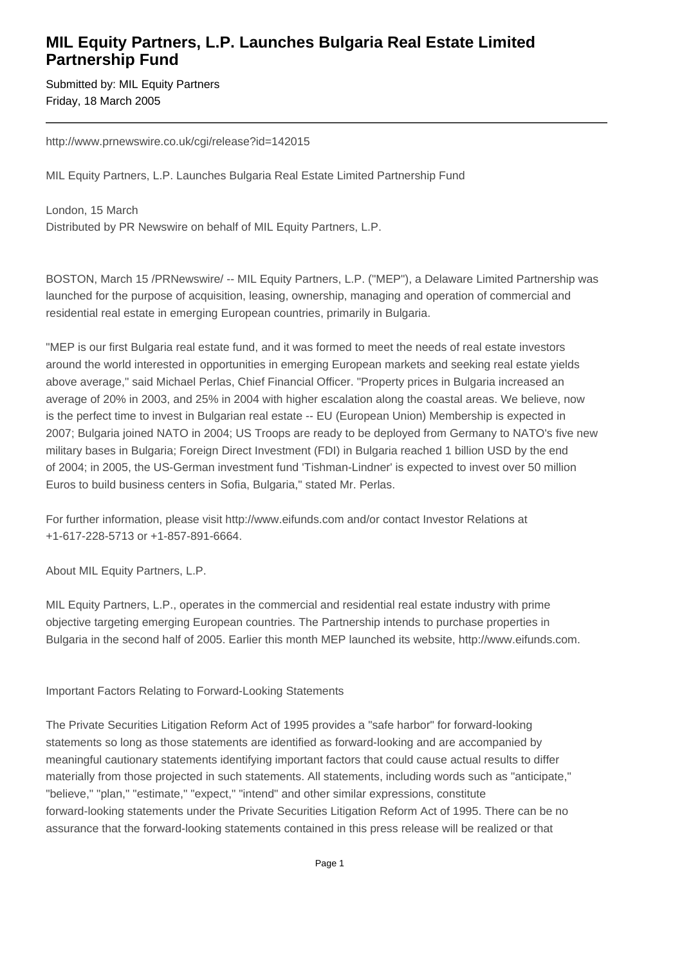## **MIL Equity Partners, L.P. Launches Bulgaria Real Estate Limited Partnership Fund**

Submitted by: MIL Equity Partners Friday, 18 March 2005

http://www.prnewswire.co.uk/cgi/release?id=142015

MIL Equity Partners, L.P. Launches Bulgaria Real Estate Limited Partnership Fund

London, 15 March Distributed by PR Newswire on behalf of MIL Equity Partners, L.P.

BOSTON, March 15 /PRNewswire/ -- MIL Equity Partners, L.P. ("MEP"), a Delaware Limited Partnership was launched for the purpose of acquisition, leasing, ownership, managing and operation of commercial and residential real estate in emerging European countries, primarily in Bulgaria.

"MEP is our first Bulgaria real estate fund, and it was formed to meet the needs of real estate investors around the world interested in opportunities in emerging European markets and seeking real estate yields above average," said Michael Perlas, Chief Financial Officer. "Property prices in Bulgaria increased an average of 20% in 2003, and 25% in 2004 with higher escalation along the coastal areas. We believe, now is the perfect time to invest in Bulgarian real estate -- EU (European Union) Membership is expected in 2007; Bulgaria joined NATO in 2004; US Troops are ready to be deployed from Germany to NATO's five new military bases in Bulgaria; Foreign Direct Investment (FDI) in Bulgaria reached 1 billion USD by the end of 2004; in 2005, the US-German investment fund 'Tishman-Lindner' is expected to invest over 50 million Euros to build business centers in Sofia, Bulgaria," stated Mr. Perlas.

For further information, please visit http://www.eifunds.com and/or contact Investor Relations at +1-617-228-5713 or +1-857-891-6664.

About MIL Equity Partners, L.P.

MIL Equity Partners, L.P., operates in the commercial and residential real estate industry with prime objective targeting emerging European countries. The Partnership intends to purchase properties in Bulgaria in the second half of 2005. Earlier this month MEP launched its website, http://www.eifunds.com.

Important Factors Relating to Forward-Looking Statements

The Private Securities Litigation Reform Act of 1995 provides a "safe harbor" for forward-looking statements so long as those statements are identified as forward-looking and are accompanied by meaningful cautionary statements identifying important factors that could cause actual results to differ materially from those projected in such statements. All statements, including words such as "anticipate," "believe," "plan," "estimate," "expect," "intend" and other similar expressions, constitute forward-looking statements under the Private Securities Litigation Reform Act of 1995. There can be no assurance that the forward-looking statements contained in this press release will be realized or that